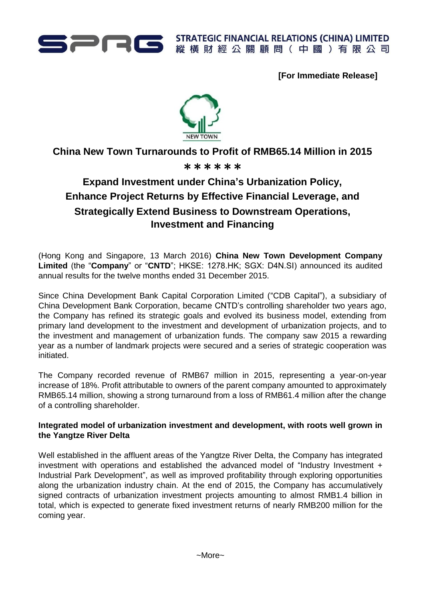

**[For Immediate Release]**



**China New Town Turnarounds to Profit of RMB65.14 Million in 2015**

# \*\*\*\*\*\*

# **Expand Investment under China's Urbanization Policy, Enhance Project Returns by Effective Financial Leverage, and Strategically Extend Business to Downstream Operations, Investment and Financing**

(Hong Kong and Singapore, 13 March 2016) **China New Town Development Company Limited** (the "**Company**" or "**CNTD**"; HKSE: 1278.HK; SGX: D4N.SI) announced its audited annual results for the twelve months ended 31 December 2015.

Since China Development Bank Capital Corporation Limited ("CDB Capital"), a subsidiary of China Development Bank Corporation, became CNTD's controlling shareholder two years ago, the Company has refined its strategic goals and evolved its business model, extending from primary land development to the investment and development of urbanization projects, and to the investment and management of urbanization funds. The company saw 2015 a rewarding year as a number of landmark projects were secured and a series of strategic cooperation was initiated.

The Company recorded revenue of RMB67 million in 2015, representing a year-on-year increase of 18%. Profit attributable to owners of the parent company amounted to approximately RMB65.14 million, showing a strong turnaround from a loss of RMB61.4 million after the change of a controlling shareholder.

# **Integrated model of urbanization investment and development, with roots well grown in the Yangtze River Delta**

Well established in the affluent areas of the Yangtze River Delta, the Company has integrated investment with operations and established the advanced model of "Industry Investment + Industrial Park Development", as well as improved profitability through exploring opportunities along the urbanization industry chain. At the end of 2015, the Company has accumulatively signed contracts of urbanization investment projects amounting to almost RMB1.4 billion in total, which is expected to generate fixed investment returns of nearly RMB200 million for the coming year.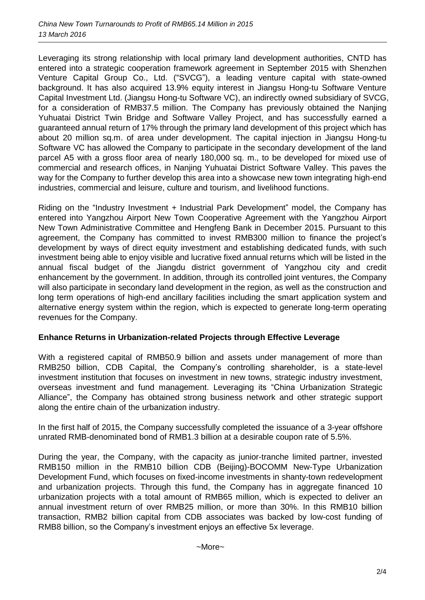Leveraging its strong relationship with local primary land development authorities, CNTD has entered into a strategic cooperation framework agreement in September 2015 with Shenzhen Venture Capital Group Co., Ltd. ("SVCG"), a leading venture capital with state-owned background. It has also acquired 13.9% equity interest in Jiangsu Hong-tu Software Venture Capital Investment Ltd. (Jiangsu Hong-tu Software VC), an indirectly owned subsidiary of SVCG, for a consideration of RMB37.5 million. The Company has previously obtained the Nanjing Yuhuatai District Twin Bridge and Software Valley Project, and has successfully earned a guaranteed annual return of 17% through the primary land development of this project which has about 20 million sq.m. of area under development. The capital injection in Jiangsu Hong-tu Software VC has allowed the Company to participate in the secondary development of the land parcel A5 with a gross floor area of nearly 180,000 sq. m., to be developed for mixed use of commercial and research offices, in Nanjing Yuhuatai District Software Valley. This paves the way for the Company to further develop this area into a showcase new town integrating high-end industries, commercial and leisure, culture and tourism, and livelihood functions.

Riding on the "Industry Investment + Industrial Park Development" model, the Company has entered into Yangzhou Airport New Town Cooperative Agreement with the Yangzhou Airport New Town Administrative Committee and Hengfeng Bank in December 2015. Pursuant to this agreement, the Company has committed to invest RMB300 million to finance the project's development by ways of direct equity investment and establishing dedicated funds, with such investment being able to enjoy visible and lucrative fixed annual returns which will be listed in the annual fiscal budget of the Jiangdu district government of Yangzhou city and credit enhancement by the government. In addition, through its controlled joint ventures, the Company will also participate in secondary land development in the region, as well as the construction and long term operations of high-end ancillary facilities including the smart application system and alternative energy system within the region, which is expected to generate long-term operating revenues for the Company.

# **Enhance Returns in Urbanization-related Projects through Effective Leverage**

With a registered capital of RMB50.9 billion and assets under management of more than RMB250 billion, CDB Capital, the Company's controlling shareholder, is a state-level investment institution that focuses on investment in new towns, strategic industry investment, overseas investment and fund management. Leveraging its "China Urbanization Strategic Alliance", the Company has obtained strong business network and other strategic support along the entire chain of the urbanization industry.

In the first half of 2015, the Company successfully completed the issuance of a 3-year offshore unrated RMB-denominated bond of RMB1.3 billion at a desirable coupon rate of 5.5%.

During the year, the Company, with the capacity as junior-tranche limited partner, invested RMB150 million in the RMB10 billion CDB (Beijing)-BOCOMM New-Type Urbanization Development Fund, which focuses on fixed-income investments in shanty-town redevelopment and urbanization projects. Through this fund, the Company has in aggregate financed 10 urbanization projects with a total amount of RMB65 million, which is expected to deliver an annual investment return of over RMB25 million, or more than 30%. In this RMB10 billion transaction, RMB2 billion capital from CDB associates was backed by low-cost funding of RMB8 billion, so the Company's investment enjoys an effective 5x leverage.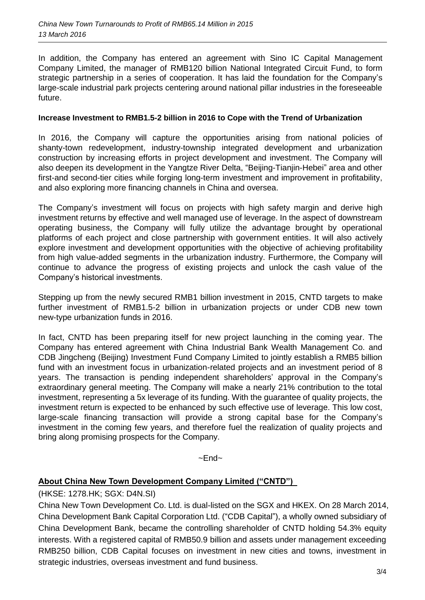In addition, the Company has entered an agreement with Sino IC Capital Management Company Limited, the manager of RMB120 billion National Integrated Circuit Fund, to form strategic partnership in a series of cooperation. It has laid the foundation for the Company's large-scale industrial park projects centering around national pillar industries in the foreseeable future.

#### **Increase Investment to RMB1.5-2 billion in 2016 to Cope with the Trend of Urbanization**

In 2016, the Company will capture the opportunities arising from national policies of shanty-town redevelopment, industry-township integrated development and urbanization construction by increasing efforts in project development and investment. The Company will also deepen its development in the Yangtze River Delta, "Beijing-Tianjin-Hebei" area and other first-and second-tier cities while forging long-term investment and improvement in profitability, and also exploring more financing channels in China and oversea.

The Company's investment will focus on projects with high safety margin and derive high investment returns by effective and well managed use of leverage. In the aspect of downstream operating business, the Company will fully utilize the advantage brought by operational platforms of each project and close partnership with government entities. It will also actively explore investment and development opportunities with the objective of achieving profitability from high value-added segments in the urbanization industry. Furthermore, the Company will continue to advance the progress of existing projects and unlock the cash value of the Company's historical investments.

Stepping up from the newly secured RMB1 billion investment in 2015, CNTD targets to make further investment of RMB1.5-2 billion in urbanization projects or under CDB new town new-type urbanization funds in 2016.

In fact, CNTD has been preparing itself for new project launching in the coming year. The Company has entered agreement with China Industrial Bank Wealth Management Co. and CDB Jingcheng (Beijing) Investment Fund Company Limited to jointly establish a RMB5 billion fund with an investment focus in urbanization-related projects and an investment period of 8 years. The transaction is pending independent shareholders' approval in the Company's extraordinary general meeting. The Company will make a nearly 21% contribution to the total investment, representing a 5x leverage of its funding. With the guarantee of quality projects, the investment return is expected to be enhanced by such effective use of leverage. This low cost, large-scale financing transaction will provide a strong capital base for the Company's investment in the coming few years, and therefore fuel the realization of quality projects and bring along promising prospects for the Company.

 $~\sim$ Fnd $~\sim$ 

# **About China New Town Development Company Limited ("CNTD")**

# (HKSE: 1278.HK; SGX: D4N.SI)

China New Town Development Co. Ltd. is dual-listed on the SGX and HKEX. On 28 March 2014, China Development Bank Capital Corporation Ltd. ("CDB Capital"), a wholly owned subsidiary of China Development Bank, became the controlling shareholder of CNTD holding 54.3% equity interests. With a registered capital of RMB50.9 billion and assets under management exceeding RMB250 billion, CDB Capital focuses on investment in new cities and towns, investment in strategic industries, overseas investment and fund business.